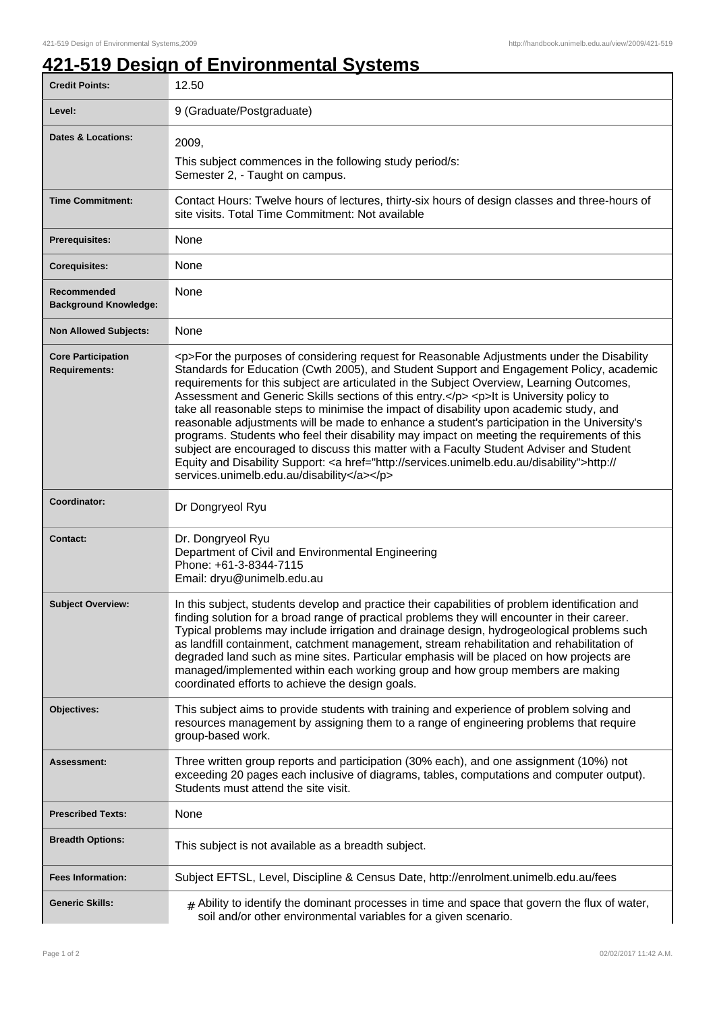## **421-519 Design of Environmental Systems**

| <b>Credit Points:</b>                             | 12.50                                                                                                                                                                                                                                                                                                                                                                                                                                                                                                                                                                                                                                                                                                                                                                                                                                                                                                                        |
|---------------------------------------------------|------------------------------------------------------------------------------------------------------------------------------------------------------------------------------------------------------------------------------------------------------------------------------------------------------------------------------------------------------------------------------------------------------------------------------------------------------------------------------------------------------------------------------------------------------------------------------------------------------------------------------------------------------------------------------------------------------------------------------------------------------------------------------------------------------------------------------------------------------------------------------------------------------------------------------|
| Level:                                            | 9 (Graduate/Postgraduate)                                                                                                                                                                                                                                                                                                                                                                                                                                                                                                                                                                                                                                                                                                                                                                                                                                                                                                    |
| Dates & Locations:                                | 2009,                                                                                                                                                                                                                                                                                                                                                                                                                                                                                                                                                                                                                                                                                                                                                                                                                                                                                                                        |
|                                                   | This subject commences in the following study period/s:<br>Semester 2, - Taught on campus.                                                                                                                                                                                                                                                                                                                                                                                                                                                                                                                                                                                                                                                                                                                                                                                                                                   |
| <b>Time Commitment:</b>                           | Contact Hours: Twelve hours of lectures, thirty-six hours of design classes and three-hours of<br>site visits. Total Time Commitment: Not available                                                                                                                                                                                                                                                                                                                                                                                                                                                                                                                                                                                                                                                                                                                                                                          |
| <b>Prerequisites:</b>                             | None                                                                                                                                                                                                                                                                                                                                                                                                                                                                                                                                                                                                                                                                                                                                                                                                                                                                                                                         |
| <b>Corequisites:</b>                              | None                                                                                                                                                                                                                                                                                                                                                                                                                                                                                                                                                                                                                                                                                                                                                                                                                                                                                                                         |
| Recommended<br><b>Background Knowledge:</b>       | None                                                                                                                                                                                                                                                                                                                                                                                                                                                                                                                                                                                                                                                                                                                                                                                                                                                                                                                         |
| <b>Non Allowed Subjects:</b>                      | None                                                                                                                                                                                                                                                                                                                                                                                                                                                                                                                                                                                                                                                                                                                                                                                                                                                                                                                         |
| <b>Core Participation</b><br><b>Requirements:</b> | <p>For the purposes of considering request for Reasonable Adjustments under the Disability<br/>Standards for Education (Cwth 2005), and Student Support and Engagement Policy, academic<br/>requirements for this subject are articulated in the Subject Overview, Learning Outcomes,<br/>Assessment and Generic Skills sections of this entry.</p> <p>lt is University policy to<br/>take all reasonable steps to minimise the impact of disability upon academic study, and<br/>reasonable adjustments will be made to enhance a student's participation in the University's<br/>programs. Students who feel their disability may impact on meeting the requirements of this<br/>subject are encouraged to discuss this matter with a Faculty Student Adviser and Student<br/>Equity and Disability Support: &lt; a href="http://services.unimelb.edu.au/disability"&gt;http://<br/>services.unimelb.edu.au/disability</p> |
| Coordinator:                                      | Dr Dongryeol Ryu                                                                                                                                                                                                                                                                                                                                                                                                                                                                                                                                                                                                                                                                                                                                                                                                                                                                                                             |
| <b>Contact:</b>                                   | Dr. Dongryeol Ryu<br>Department of Civil and Environmental Engineering<br>Phone: +61-3-8344-7115<br>Email: dryu@unimelb.edu.au                                                                                                                                                                                                                                                                                                                                                                                                                                                                                                                                                                                                                                                                                                                                                                                               |
| <b>Subject Overview:</b>                          | In this subject, students develop and practice their capabilities of problem identification and<br>finding solution for a broad range of practical problems they will encounter in their career.<br>Typical problems may include irrigation and drainage design, hydrogeological problems such<br>as landfill containment, catchment management, stream rehabilitation and rehabilitation of<br>degraded land such as mine sites. Particular emphasis will be placed on how projects are<br>managed/implemented within each working group and how group members are making<br>coordinated efforts to achieve the design goals.                                                                                                                                                                                                                                                                                               |
| Objectives:                                       | This subject aims to provide students with training and experience of problem solving and<br>resources management by assigning them to a range of engineering problems that require<br>group-based work.                                                                                                                                                                                                                                                                                                                                                                                                                                                                                                                                                                                                                                                                                                                     |
| Assessment:                                       | Three written group reports and participation (30% each), and one assignment (10%) not<br>exceeding 20 pages each inclusive of diagrams, tables, computations and computer output).<br>Students must attend the site visit.                                                                                                                                                                                                                                                                                                                                                                                                                                                                                                                                                                                                                                                                                                  |
| <b>Prescribed Texts:</b>                          | None                                                                                                                                                                                                                                                                                                                                                                                                                                                                                                                                                                                                                                                                                                                                                                                                                                                                                                                         |
| <b>Breadth Options:</b>                           | This subject is not available as a breadth subject.                                                                                                                                                                                                                                                                                                                                                                                                                                                                                                                                                                                                                                                                                                                                                                                                                                                                          |
| <b>Fees Information:</b>                          | Subject EFTSL, Level, Discipline & Census Date, http://enrolment.unimelb.edu.au/fees                                                                                                                                                                                                                                                                                                                                                                                                                                                                                                                                                                                                                                                                                                                                                                                                                                         |
| <b>Generic Skills:</b>                            | $#$ Ability to identify the dominant processes in time and space that govern the flux of water,<br>soil and/or other environmental variables for a given scenario.                                                                                                                                                                                                                                                                                                                                                                                                                                                                                                                                                                                                                                                                                                                                                           |